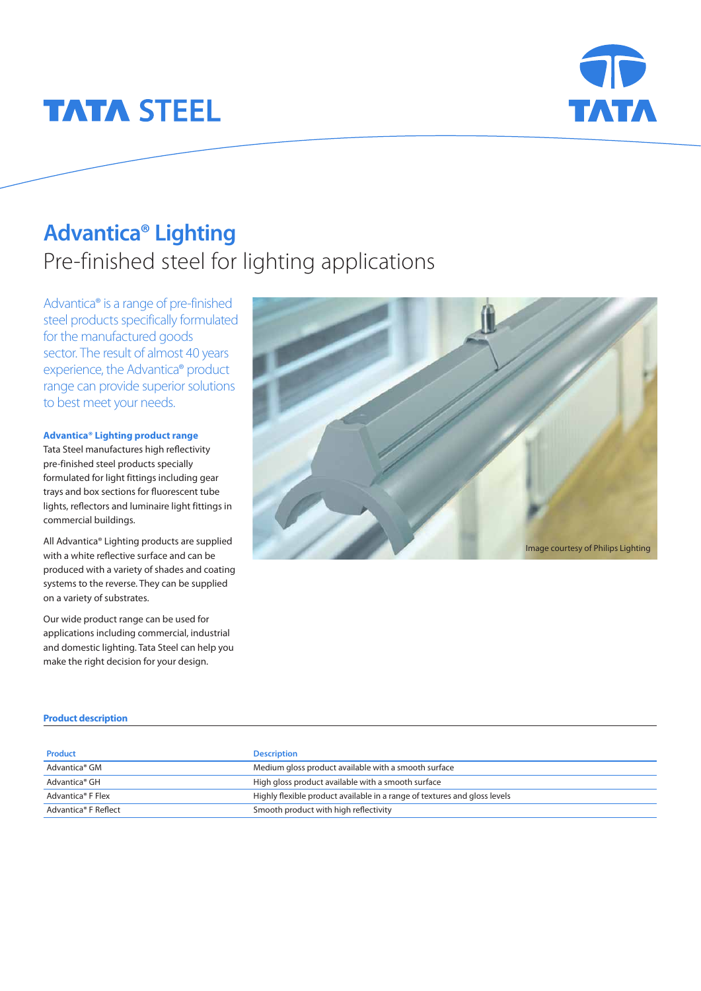# **TATA STEEL**



## **Advantica® Lighting**  Pre-finished steel for lighting applications

Advantica® is a range of pre-finished steel products specifically formulated for the manufactured goods sector. The result of almost 40 years experience, the Advantica® product range can provide superior solutions to best meet your needs.

#### **Advantica® Lighting product range**

Tata Steel manufactures high reflectivity pre-finished steel products specially formulated for light fittings including gear trays and box sections for fluorescent tube lights, reflectors and luminaire light fittings in commercial buildings.

All Advantica® Lighting products are supplied with a white reflective surface and can be produced with a variety of shades and coating systems to the reverse. They can be supplied on a variety of substrates.

Our wide product range can be used for applications including commercial, industrial and domestic lighting. Tata Steel can help you make the right decision for your design.



#### **Product description**

| <b>Product</b>            | <b>Description</b>                                                        |
|---------------------------|---------------------------------------------------------------------------|
| Advantica® GM             | Medium gloss product available with a smooth surface                      |
| Advantica <sup>®</sup> GH | High gloss product available with a smooth surface                        |
| Advantica® F Flex         | Highly flexible product available in a range of textures and gloss levels |
| Advantica® F Reflect      | Smooth product with high reflectivity                                     |